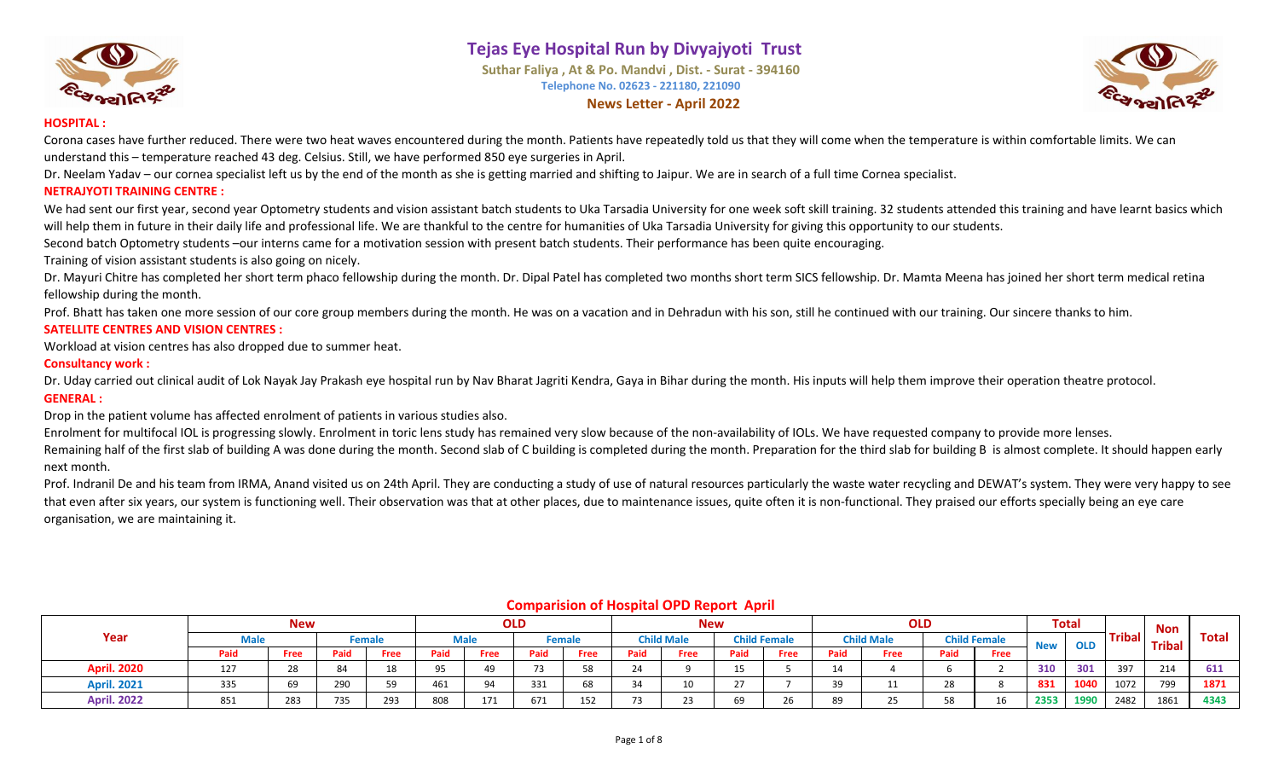

# **Tejas Eye Hospital Run by Divyajyoti Trust**

**Suthar Faliya , At & Po. Mandvi , Dist. - Surat - 394160 Telephone No. 02623 - 221180, 221090 News Letter - April 2022**



#### **HOSPITAL :**

Corona cases have further reduced. There were two heat waves encountered during the month. Patients have repeatedly told us that they will come when the temperature is within comfortable limits. We can understand this – temperature reached 43 deg. Celsius. Still, we have performed 850 eye surgeries in April.

Dr. Neelam Yadav – our cornea specialist left us by the end of the month as she is getting married and shifting to Jaipur. We are in search of a full time Cornea specialist.

#### **NETRAJYOTI TRAINING CENTRE :**

We had sent our first year, second year Optometry students and vision assistant batch students to Uka Tarsadia University for one week soft skill training. 32 students attended this training and have learnt basics which will help them in future in their daily life and professional life. We are thankful to the centre for humanities of Uka Tarsadia University for giving this opportunity to our students.

Second batch Optometry students –our interns came for a motivation session with present batch students. Their performance has been quite encouraging.

Training of vision assistant students is also going on nicely.

Dr. Mayuri Chitre has completed her short term phaco fellowship during the month. Dr. Dipal Patel has completed two months short term SICS fellowship. Dr. Mamta Meena has joined her short term medical retina fellowship during the month.

Prof. Bhatt has taken one more session of our core group members during the month. He was on a vacation and in Dehradun with his son, still he continued with our training. Our sincere thanks to him. **SATELLITE CENTRES AND VISION CENTRES :**

Workload at vision centres has also dropped due to summer heat.

#### **Consultancy work :**

Dr. Uday carried out clinical audit of Lok Nayak Jay Prakash eye hospital run by Nav Bharat Jagriti Kendra, Gaya in Bihar during the month. His inputs will help them improve their operation theatre protocol. **GENERAL :**

Drop in the patient volume has affected enrolment of patients in various studies also.

Enrolment for multifocal IOL is progressing slowly. Enrolment in toric lens study has remained very slow because of the non-availability of IOLs. We have requested company to provide more lenses.

Remaining half of the first slab of building A was done during the month. Second slab of C building is completed during the month. Preparation for the third slab for building B is almost complete. It should happen early next month.

Prof. Indranil De and his team from IRMA, Anand visited us on 24th April. They are conducting a study of use of natural resources particularly the waste water recycling and DEWAT's system. They were very happy to see that even after six years, our system is functioning well. Their observation was that at other places, due to maintenance issues, quite often it is non-functional. They praised our efforts specially being an eye care organisation, we are maintaining it.

|                    |     | <b>New</b> |      |        |            |      | <b>OLD</b> |        |      | <b>New</b>        |      |                     |      | <b>OLD</b>        |      |                     |            | <b>Total</b> |               | <b>Non</b>    |       |
|--------------------|-----|------------|------|--------|------------|------|------------|--------|------|-------------------|------|---------------------|------|-------------------|------|---------------------|------------|--------------|---------------|---------------|-------|
| Year               |     |            |      | Female |            | Male |            | Female |      | <b>Child Male</b> |      | <b>Child Female</b> |      | <b>Child Male</b> |      | <b>Child Female</b> | <b>New</b> | <b>OLD</b>   | <b>Tribal</b> | <b>Tribal</b> | Total |
|                    | Pai | Free       | Paid | Free   | Paid       | Free | Paid       | Free   | Paid | Free              | Paid | Free                | Paid | Free              | Paid | <b>Free</b>         |            |              |               |               |       |
| <b>April. 2020</b> | 127 |            | 84   | 18     | $\sim$ $-$ |      |            | 58     |      |                   |      |                     |      |                   |      |                     | 310        | 301          | 397           | 214           | 611   |
| <b>April. 2021</b> | 335 | 69         | 290  | 50     | 461        | 94   | 331        | 68     |      | 10                |      |                     |      |                   | 28   |                     | 831        | 1040         | 1072          | 799           | 1871  |
| <b>April. 2022</b> | 851 | 283        | 735  | 293    | 808        | 171  | 671        | 152    | 73   | 23                | 69   | 26                  | 89   |                   | 58   | 16                  | 2353       | 1990         | 2482          | 1861          | 4343  |

#### **Comparision of Hospital OPD Report April**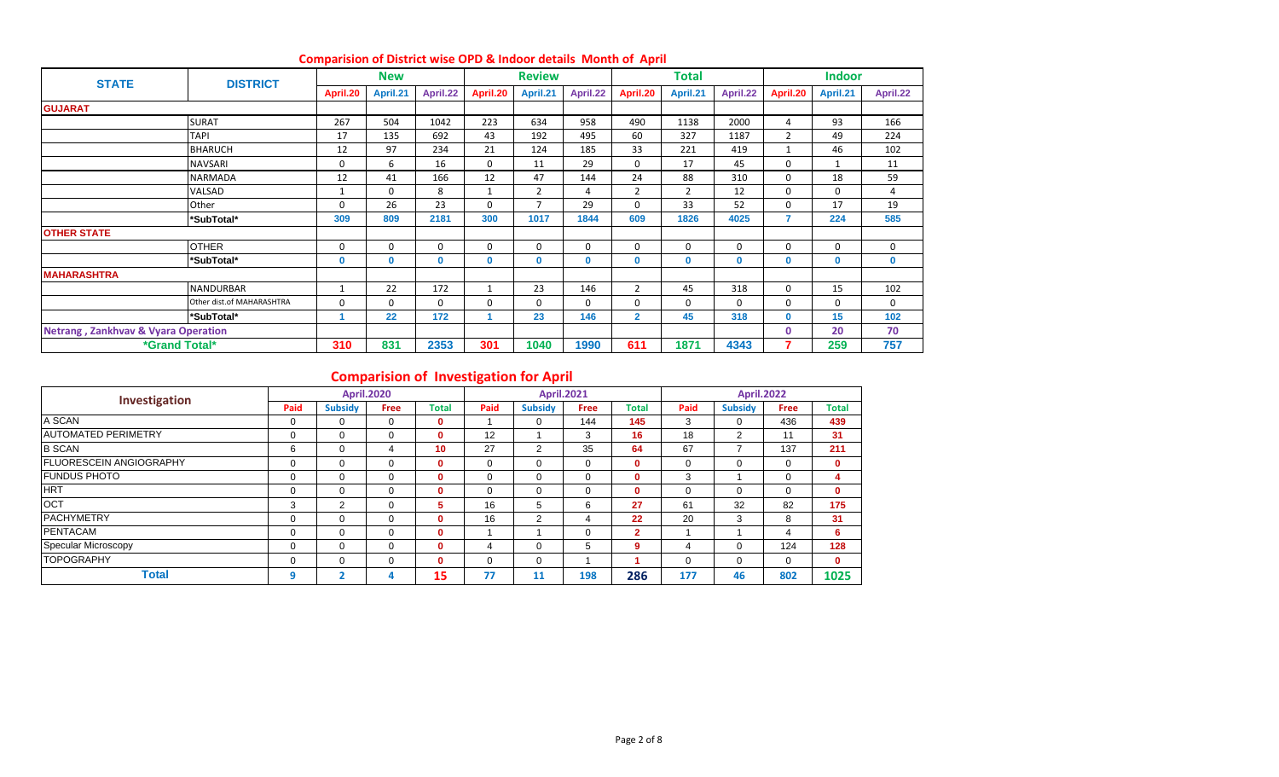| <b>STATE</b>                | <b>DISTRICT</b>                                |              | <b>New</b>   |             |              | <b>Review</b> |             |                | Total          |          |                | <b>Indoor</b> |          |
|-----------------------------|------------------------------------------------|--------------|--------------|-------------|--------------|---------------|-------------|----------------|----------------|----------|----------------|---------------|----------|
|                             |                                                | April.20     | April.21     | April.22    | April.20     | April.21      | April.22    | April.20       | April.21       | April.22 | April.20       | April.21      | April.22 |
| <b>GUJARAT</b>              |                                                |              |              |             |              |               |             |                |                |          |                |               |          |
|                             | <b>SURAT</b>                                   | 267          | 504          | 1042        | 223          | 634           | 958         | 490            | 1138           | 2000     | 4              | 93            | 166      |
|                             | <b>TAPI</b>                                    | 17           | 135          | 692         | 43           | 192           | 495         | 60             | 327            | 1187     | $\overline{2}$ | 49            | 224      |
|                             | <b>BHARUCH</b>                                 | 12           | 97           | 234         | 21           | 124           | 185         | 33             | 221            | 419      | $\overline{1}$ | 46            | 102      |
|                             | <b>NAVSARI</b>                                 | $\Omega$     | 6            | 16          | 0            | 11            | 29          | 0              | 17             | 45       | 0              | $\mathbf{1}$  | 11       |
|                             | <b>NARMADA</b>                                 | 12           | 41           | 166         | 12           | 47            | 144         | 24             | 88             | 310      | $\Omega$       | 18            | 59       |
|                             | VALSAD                                         | 1            | $\Omega$     | 8           | $\mathbf{1}$ | 2             | 4           | $\overline{2}$ | $\overline{2}$ | 12       | 0              | 0             | 4        |
|                             | Other                                          | $\Omega$     | 26           | 23          | $\mathbf 0$  | 7             | 29          | $\mathbf 0$    | 33             | 52       | 0              | 17            | 19       |
|                             | *SubTotal*                                     | 309          | 809          | 2181        | 300          | 1017          | 1844        | 609            | 1826           | 4025     | 7              | 224           | 585      |
| <b>OTHER STATE</b>          |                                                |              |              |             |              |               |             |                |                |          |                |               |          |
|                             | <b>OTHER</b>                                   | $\Omega$     | 0            | $\Omega$    | 0            | 0             | $\mathbf 0$ | 0              | $\Omega$       | $\Omega$ | 0              | $\mathbf 0$   | 0        |
|                             | *SubTotal*                                     | $\mathbf{0}$ | $\mathbf{0}$ | $\mathbf 0$ | $\mathbf{0}$ | 0             | 0           | $\mathbf{0}$   | $\mathbf{0}$   | $\Omega$ | 0              | $\mathbf 0$   | 0        |
| <b>MAHARASHTRA</b>          |                                                |              |              |             |              |               |             |                |                |          |                |               |          |
|                             | <b>NANDURBAR</b>                               | $\mathbf{1}$ | 22           | 172         | $\mathbf{1}$ | 23            | 146         | $\overline{2}$ | 45             | 318      | 0              | 15            | 102      |
|                             | Other dist.of MAHARASHTRA                      | $\Omega$     | 0            | $\Omega$    | 0            | 0             | $\mathbf 0$ | 0              | $\Omega$       | $\Omega$ | 0              | $\mathbf 0$   | 0        |
|                             | *SubTotal*                                     |              | 22           | 172         |              | 23            | 146         | $\overline{2}$ | 45             | 318      | $\bf{0}$       | 15            | 102      |
|                             | <b>Netrang, Zankhvav &amp; Vyara Operation</b> |              |              |             |              |               |             |                |                |          | $\mathbf{0}$   | 20            | 70       |
| <i><b>*Grand Total*</b></i> |                                                | 310          | 831          | 2353        | 301          | 1040          | 1990        | 611            | 1871           | 4343     |                | 259           | 757      |

#### **Comparision of District wise OPD & Indoor details Month of April**

# **Comparision of Investigation for April**

| Investigation                   |          |                | <b>April.2020</b> |                 |      |                | <b>April.2021</b> |                |      | <b>April.2022</b> |             |              |
|---------------------------------|----------|----------------|-------------------|-----------------|------|----------------|-------------------|----------------|------|-------------------|-------------|--------------|
|                                 | Paid     | <b>Subsidy</b> | <b>Free</b>       | Total           | Paid | <b>Subsidy</b> | <b>Free</b>       | Total          | Paid | <b>Subsidy</b>    | <b>Free</b> | <b>Total</b> |
| A SCAN                          |          | $\Omega$       | 0                 | 0               |      | 0              | 144               | 145            | 3    | 0                 | 436         | 439          |
| <b>AUTOMATED PERIMETRY</b>      | $\Omega$ | $\Omega$       | 0                 | 0               | 12   |                | 3                 | 16             | 18   | $\overline{2}$    | 11          | 31           |
| <b>B SCAN</b>                   | 6        | $\Omega$       | 4                 | 10 <sup>1</sup> | 27   | 2              | 35                | 64             | 67   | ⇁                 | 137         | 211          |
| <b>IFLUORESCEIN ANGIOGRAPHY</b> | $\Omega$ | $\Omega$       | $\Omega$          | $\bf{0}$        | 0    | 0              | $\mathbf 0$       | $\mathbf{0}$   | 0    | $\Omega$          | 0           | $\mathbf{0}$ |
| <b>FUNDUS PHOTO</b>             |          | $\Omega$       | 0                 | $\bf{0}$        | 0    | 0              | 0                 | $\mathbf{0}$   | 3    |                   | 0           | 4            |
| <b>HRT</b>                      | $\Omega$ | $\Omega$       | $\Omega$          | $\bf{0}$        |      | $\Omega$       | $\Omega$          | $\mathbf{0}$   | 0    | $\Omega$          | 0           | $\mathbf{0}$ |
| OCT                             | 3        | 2              | 0                 | 5.              | 16   | 5              | 6                 | 27             | 61   | 32                | 82          | 175          |
| <b>PACHYMETRY</b>               |          | $\Omega$       | 0                 | $\mathbf{0}$    | 16   | 2              | 4                 | 22             | 20   | 3                 | 8           | 31           |
| <b>PENTACAM</b>                 |          | $\Omega$       | 0                 | $\bf{0}$        |      |                | $\Omega$          | $\overline{2}$ |      |                   | 4           | 6            |
| Specular Microscopy             |          | $\Omega$       | $\Omega$          | 0               | 4    | 0              | 5                 | 9              | 4    | 0                 | 124         | 128          |
| <b>TOPOGRAPHY</b>               |          | $\Omega$       | 0                 | 0               |      | $\Omega$       |                   |                | 0    | $\Omega$          | $\Omega$    | $\Omega$     |
| Total                           | O        | 2              |                   | 15              | 77   | 11             | 198               | 286            | 177  | 46                | 802         | 1025         |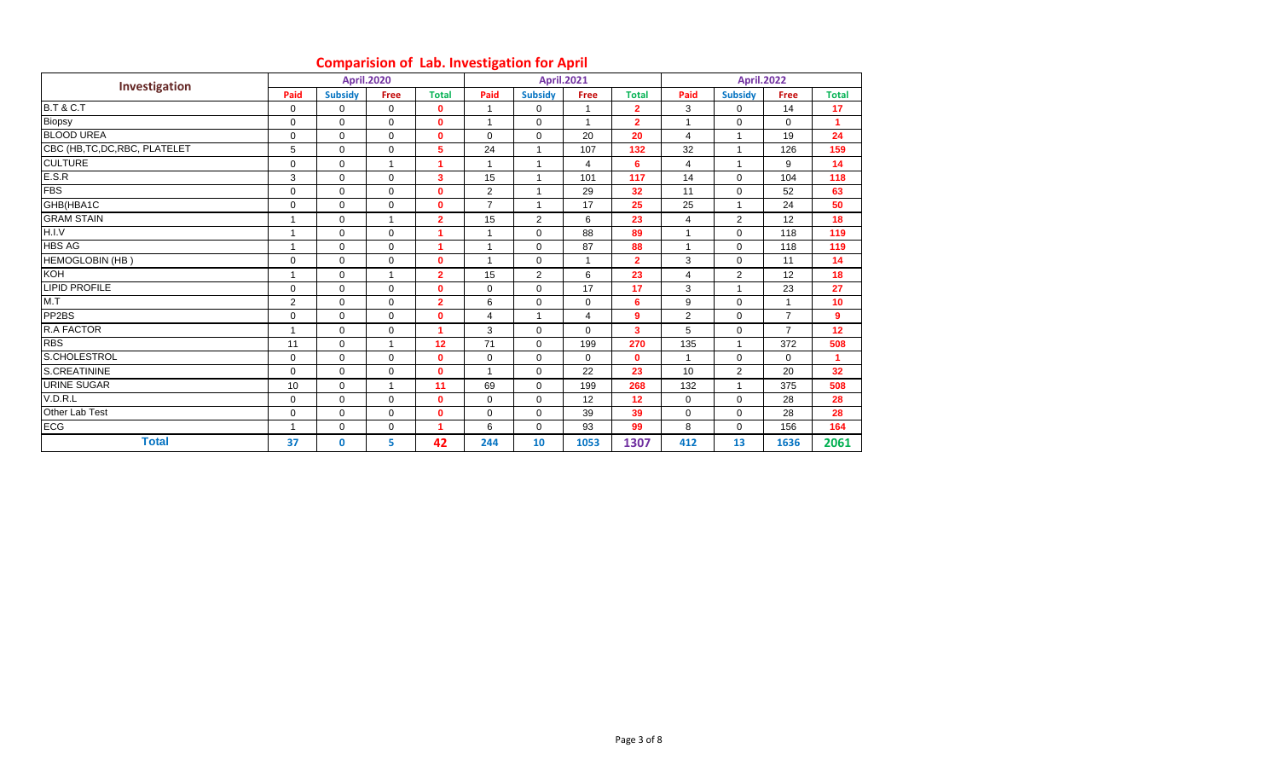### **Comparision of Lab. Investigation for April**

| Investigation                  |                |                | <b>April.2020</b> |                |                |                | <b>April.2021</b> |                  |                | <b>April.2022</b> |                |                      |
|--------------------------------|----------------|----------------|-------------------|----------------|----------------|----------------|-------------------|------------------|----------------|-------------------|----------------|----------------------|
|                                | Paid           | <b>Subsidy</b> | <b>Free</b>       | <b>Total</b>   | Paid           | <b>Subsidy</b> | Free              | <b>Total</b>     | Paid           | <b>Subsidy</b>    | Free           | <b>Total</b>         |
| <b>B.T &amp; C.T</b>           | $\mathbf 0$    | $\mathbf 0$    | $\mathbf 0$       | $\mathbf{0}$   | $\mathbf{1}$   | $\mathbf 0$    |                   | $\overline{2}$   | 3              | $\mathbf 0$       | 14             | 17                   |
| Biopsy                         | $\mathbf 0$    | $\Omega$       | $\mathbf 0$       | $\mathbf{0}$   | $\overline{ }$ | $\mathbf 0$    | $\mathbf{1}$      | $\overline{2}$   | 1              | $\mathbf 0$       | $\mathbf 0$    | $\blacktriangleleft$ |
| <b>BLOOD UREA</b>              | $\mathbf 0$    | $\mathbf 0$    | $\mathbf 0$       | $\mathbf 0$    | $\Omega$       | $\Omega$       | 20                | 20               | 4              | $\mathbf{1}$      | 19             | 24                   |
| CBC (HB, TC, DC, RBC, PLATELET | 5              | $\mathbf 0$    | $\mathbf 0$       | 5              | 24             |                | 107               | 132              | 32             | -1                | 126            | 159                  |
| <b>CULTURE</b>                 | $\mathbf 0$    | $\mathbf 0$    | 1                 | $\mathbf{1}$   | $\mathbf{1}$   | $\overline{1}$ | 4                 | 6                | $\overline{4}$ | $\mathbf{1}$      | 9              | 14                   |
| E.S.R                          | 3              | $\Omega$       | $\mathbf 0$       | 3              | 15             | $\overline{1}$ | 101               | 117              | 14             | $\Omega$          | 104            | 118                  |
| <b>FBS</b>                     | 0              | $\mathbf 0$    | $\mathbf 0$       | $\mathbf 0$    | $\overline{2}$ | $\overline{ }$ | 29                | 32               | 11             | $\mathbf 0$       | 52             | 63                   |
| GHB(HBA1C                      | 0              | $\mathbf 0$    | $\mathbf 0$       | $\mathbf{0}$   | $\overline{7}$ |                | 17                | 25               | 25             | $\overline{ }$    | 24             | 50                   |
| <b>GRAM STAIN</b>              |                | $\mathbf 0$    |                   | $\overline{2}$ | 15             | $\overline{2}$ | 6                 | 23               | 4              | $\overline{2}$    | 12             | 18                   |
| H.I.V                          |                | $\mathbf 0$    | $\mathbf 0$       | 1              |                | $\Omega$       | 88                | 89               |                | $\Omega$          | 118            | 119                  |
| <b>HBS AG</b>                  |                | $\mathbf 0$    | $\mathbf 0$       | 1              | $\overline{ }$ | $\mathbf 0$    | 87                | 88               |                | $\mathbf 0$       | 118            | 119                  |
| <b>HEMOGLOBIN (HB)</b>         | 0              | $\mathbf 0$    | $\mathbf 0$       | $\mathbf{0}$   | 4              | $\mathbf 0$    | 1                 | $\overline{2}$   | 3              | $\mathbf 0$       | 11             | 14                   |
| <b>KOH</b>                     |                | $\mathbf 0$    |                   | $\overline{2}$ | 15             | $\overline{2}$ | 6                 | 23               | 4              | $\overline{2}$    | 12             | 18                   |
| <b>LIPID PROFILE</b>           | 0              | $\Omega$       | $\mathbf 0$       | $\mathbf{0}$   | $\Omega$       | $\Omega$       | 17                | 17               | 3              | $\mathbf{1}$      | 23             | 27                   |
| M.T                            | 2              | $\mathbf 0$    | $\mathbf 0$       | $\overline{2}$ | 6              | $\mathbf 0$    | 0                 | 6                | 9              | $\mathbf 0$       |                | 10                   |
| PP <sub>2</sub> BS             | 0              | $\mathbf 0$    | $\mathbf 0$       | $\mathbf 0$    | $\overline{4}$ | $\overline{1}$ | 4                 | $\boldsymbol{9}$ | 2              | $\mathbf 0$       | $\overline{7}$ | $\boldsymbol{9}$     |
| <b>R.A FACTOR</b>              |                | $\Omega$       | $\mathbf 0$       | $\overline{1}$ | 3              | $\Omega$       | $\Omega$          | 3                | 5              | $\Omega$          | $\overline{7}$ | 12                   |
| <b>RBS</b>                     | 11             | $\mathbf 0$    | $\mathbf{1}$      | 12             | 71             | $\mathbf 0$    | 199               | 270              | 135            | $\overline{1}$    | 372            | 508                  |
| S.CHOLESTROL                   | $\mathbf 0$    | $\mathbf 0$    | $\mathbf 0$       | $\mathbf 0$    | $\mathbf 0$    | $\mathbf 0$    | 0                 | $\mathbf{0}$     | $\mathbf{1}$   | $\mathbf 0$       | 0              | 1                    |
| S.CREATININE                   | 0              | $\mathbf 0$    | $\mathbf 0$       | $\mathbf 0$    | $\overline{1}$ | $\mathbf 0$    | 22                | 23               | 10             | $\overline{2}$    | 20             | 32                   |
| <b>URINE SUGAR</b>             | 10             | $\Omega$       | 1                 | 11             | 69             | $\Omega$       | 199               | 268              | 132            | $\mathbf{1}$      | 375            | 508                  |
| V.D.R.L                        | $\mathbf 0$    | $\mathbf 0$    | $\mathbf 0$       | $\mathbf 0$    | $\mathbf 0$    | $\mathbf 0$    | 12                | 12               | $\mathbf 0$    | $\mathbf 0$       | 28             | 28                   |
| Other Lab Test                 | 0              | $\mathbf 0$    | $\mathbf 0$       | $\mathbf 0$    | $\mathbf 0$    | $\mathbf 0$    | 39                | 39               | $\mathbf 0$    | $\mathbf 0$       | 28             | 28                   |
| ECG                            | $\overline{ }$ | $\mathbf 0$    | 0                 | 1              | 6              | $\mathbf 0$    | 93                | 99               | 8              | $\mathbf 0$       | 156            | 164                  |
| <b>Total</b>                   | 37             | $\mathbf 0$    | 5                 | 42             | 244            | 10             | 1053              | 1307             | 412            | 13                | 1636           | 2061                 |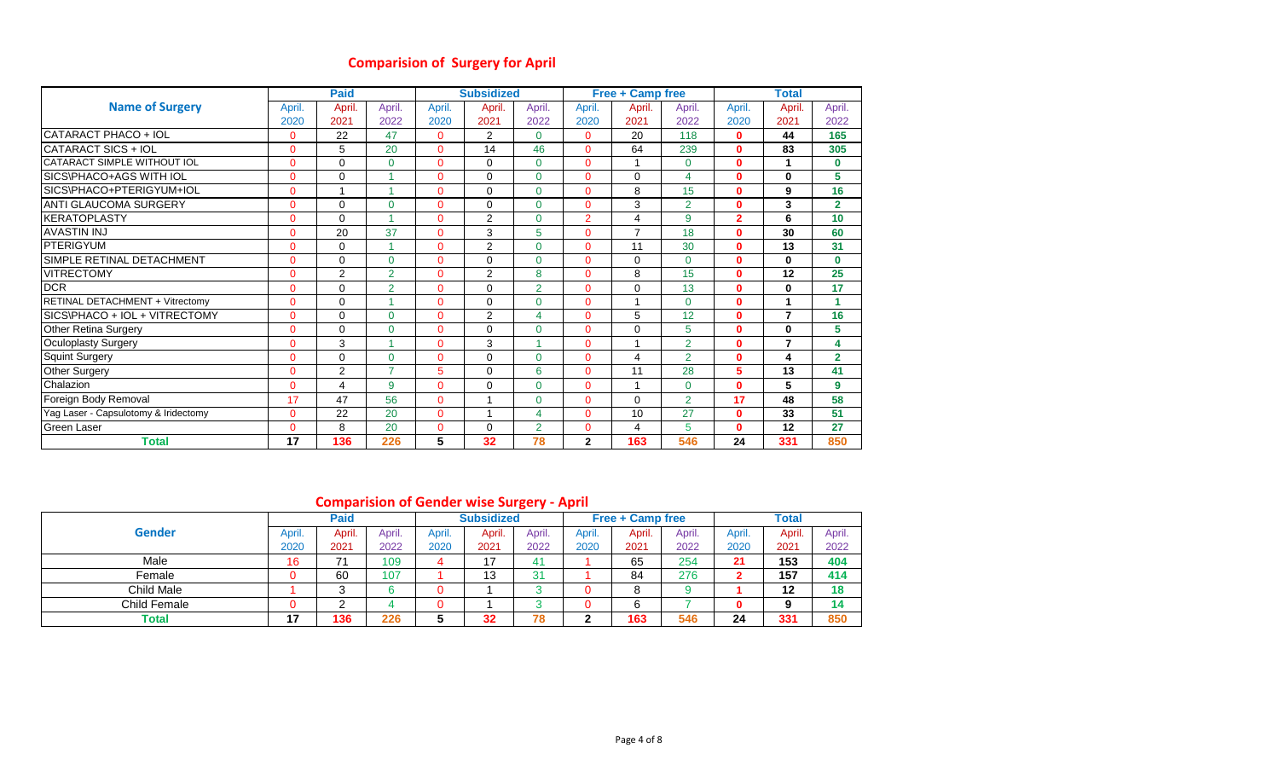### **Comparision of Surgery for April**

|                                      |                | <b>Paid</b>    |                |              | <b>Subsidized</b> |                |                | Free + Camp free        |                |                | <b>Total</b>   |                |
|--------------------------------------|----------------|----------------|----------------|--------------|-------------------|----------------|----------------|-------------------------|----------------|----------------|----------------|----------------|
| <b>Name of Surgery</b>               | April.         | April.         | April.         | April.       | April.            | April.         | April.         | April.                  | April.         | April.         | April.         | April.         |
|                                      | 2020           | 2021           | 2022           | 2020         | 2021              | 2022           | 2020           | 2021                    | 2022           | 2020           | 2021           | 2022           |
| CATARACT PHACO + IOL                 | $\Omega$       | 22             | 47             | $\Omega$     | $\overline{2}$    | $\Omega$       | $\Omega$       | 20                      | 118            | $\bf{0}$       | 44             | 165            |
| CATARACT SICS + IOL                  | 0              | 5              | 20             | $\Omega$     | 14                | 46             | $\Omega$       | 64                      | 239            | $\bf{0}$       | 83             | 305            |
| CATARACT SIMPLE WITHOUT IOL          | 0              | $\Omega$       | 0              | $\Omega$     | $\Omega$          | $\Omega$       | $\Omega$       |                         | $\Omega$       | $\bf{0}$       | 1              | $\bf{0}$       |
| SICS\PHACO+AGS WITH IOL              | $\overline{0}$ | 0              |                | $\Omega$     | $\Omega$          | $\Omega$       | $\Omega$       | 0                       | 4              | $\mathbf{0}$   | $\bf{0}$       | 5              |
| SICS\PHACO+PTERIGYUM+IOL             | 0              | $\mathbf{1}$   | A              | $\mathbf{0}$ | $\Omega$          | $\Omega$       | $\Omega$       | 8                       | 15             | $\mathbf{0}$   | 9              | 16             |
| <b>ANTI GLAUCOMA SURGERY</b>         | $\Omega$       | $\Omega$       | 0              | $\Omega$     | $\Omega$          | $\Omega$       | $\Omega$       | 3                       | $\overline{2}$ | $\mathbf{0}$   | 3              | $\overline{2}$ |
| <b>IKERATOPLASTY</b>                 | 0              | 0              |                | $\mathbf{0}$ | 2                 | $\mathbf{0}$   | $\overline{2}$ | 4                       | 9              | $\overline{2}$ | 6              | 10             |
| <b>AVASTIN INJ</b>                   | 0              | 20             | 37             | $\Omega$     | 3                 | 5              | $\Omega$       | $\overline{7}$          | 18             | $\mathbf 0$    | 30             | 60             |
| <b>PTERIGYUM</b>                     | $\Omega$       | 0              |                | $\Omega$     | 2                 | $\Omega$       | $\Omega$       | 11                      | 30             | $\mathbf{0}$   | 13             | 31             |
| SIMPLE RETINAL DETACHMENT            | $\overline{0}$ | 0              | 0              | $\mathbf{0}$ | 0                 | $\Omega$       | $\Omega$       | 0                       | $\Omega$       | $\mathbf{0}$   | 0              | $\bf{0}$       |
| <b>VITRECTOMY</b>                    | 0              | $\overline{2}$ | $\overline{2}$ | $\Omega$     | 2                 | 8              | $\Omega$       | 8                       | 15             | $\mathbf{0}$   | 12             | 25             |
| <b>DCR</b>                           | $\Omega$       | $\Omega$       | $\overline{2}$ | $\Omega$     | $\Omega$          | $\overline{2}$ | $\Omega$       | 0                       | 13             | $\mathbf{0}$   | 0              | 17             |
| RETINAL DETACHMENT + Vitrectomy      | 0              | 0              |                | $\Omega$     | $\Omega$          | $\Omega$       | 0              | 1                       | $\Omega$       | $\bf{0}$       | 1              | 1              |
| SICS\PHACO + IOL + VITRECTOMY        | 0              | 0              | 0              | $\mathbf{0}$ | 2                 | $\overline{4}$ | $\Omega$       | 5                       | 12             | $\mathbf 0$    | 7              | 16             |
| <b>Other Retina Surgery</b>          | 0              | $\Omega$       | 0              | $\Omega$     | $\Omega$          | $\Omega$       | $\Omega$       | 0                       | 5              | $\mathbf{0}$   | $\bf{0}$       | 5              |
| Oculoplasty Surgery                  | 0              | 3              |                | $\mathbf{0}$ | 3                 |                | $\Omega$       | $\overline{ }$          | $\overline{2}$ | $\mathbf{0}$   | $\overline{7}$ | 4              |
| <b>Squint Surgery</b>                | 0              | $\Omega$       | 0              | $\Omega$     | $\Omega$          | $\Omega$       | $\Omega$       | $\overline{\mathbf{4}}$ | $\overline{2}$ | $\mathbf 0$    | 4              | $\overline{2}$ |
| Other Surgery                        | 0              | $\overline{2}$ | $\overline{7}$ | 5            | $\Omega$          | 6              | $\Omega$       | 11                      | 28             | 5              | 13             | 41             |
| Chalazion                            | 0              | 4              | 9              | $\Omega$     | $\Omega$          | $\Omega$       | $\Omega$       | 1                       | $\Omega$       | $\mathbf{0}$   | 5              | $\mathbf{9}$   |
| Foreign Body Removal                 | 17             | 47             | 56             | $\mathbf{0}$ |                   | $\Omega$       | $\Omega$       | $\mathbf 0$             | $\overline{2}$ | 17             | 48             | 58             |
| Yag Laser - Capsulotomy & Iridectomy | 0              | 22             | 20             | $\mathbf{0}$ |                   | $\overline{4}$ | $\Omega$       | 10                      | 27             | $\mathbf{0}$   | 33             | 51             |
| Green Laser                          | 0              | 8              | 20             | $\mathbf{0}$ | $\Omega$          | $\overline{2}$ | $\Omega$       | 4                       | 5              | $\Omega$       | 12             | 27             |
| <b>Total</b>                         | 17             | 136            | 226            | 5            | 32                | 78             | $\mathbf{2}$   | 163                     | 546            | 24             | 331            | 850            |

### **Comparision of Gender wise Surgery - April**

|               |                | Paid   |        |        | <b>Subsidized</b> |        |        | <b>Free + Camp free</b> |        |        | Total  |        |
|---------------|----------------|--------|--------|--------|-------------------|--------|--------|-------------------------|--------|--------|--------|--------|
| <b>Gender</b> | April.         | April. | April. | April. | Apri              | April. | April. | April.                  | April. | April. | April. | April. |
|               | 2020           | 2021   | 2022   | 2020   | 2021              | 2022   | 2020   | 2021                    | 2022   | 2020   | 2021   | 2022   |
| Male          | 16             | 74     | 109    |        | 17                | 41     |        | 65                      | 254    | 21     | 153    | 404    |
| Female        |                | 60     | 107    |        | 10<br>. ט         | 31     |        | 84                      | 276    |        | 157    | 414    |
| Child Male    |                |        |        |        |                   |        | u      | 8                       |        |        | 12     | 18     |
| Child Female  |                |        |        |        |                   |        |        | 6                       |        |        | 9      | 14     |
| <b>Total</b>  | $\overline{ }$ | 136    | 226    |        | 32                | 78     | c      | 163                     | 546    | 24     | 331    | 850    |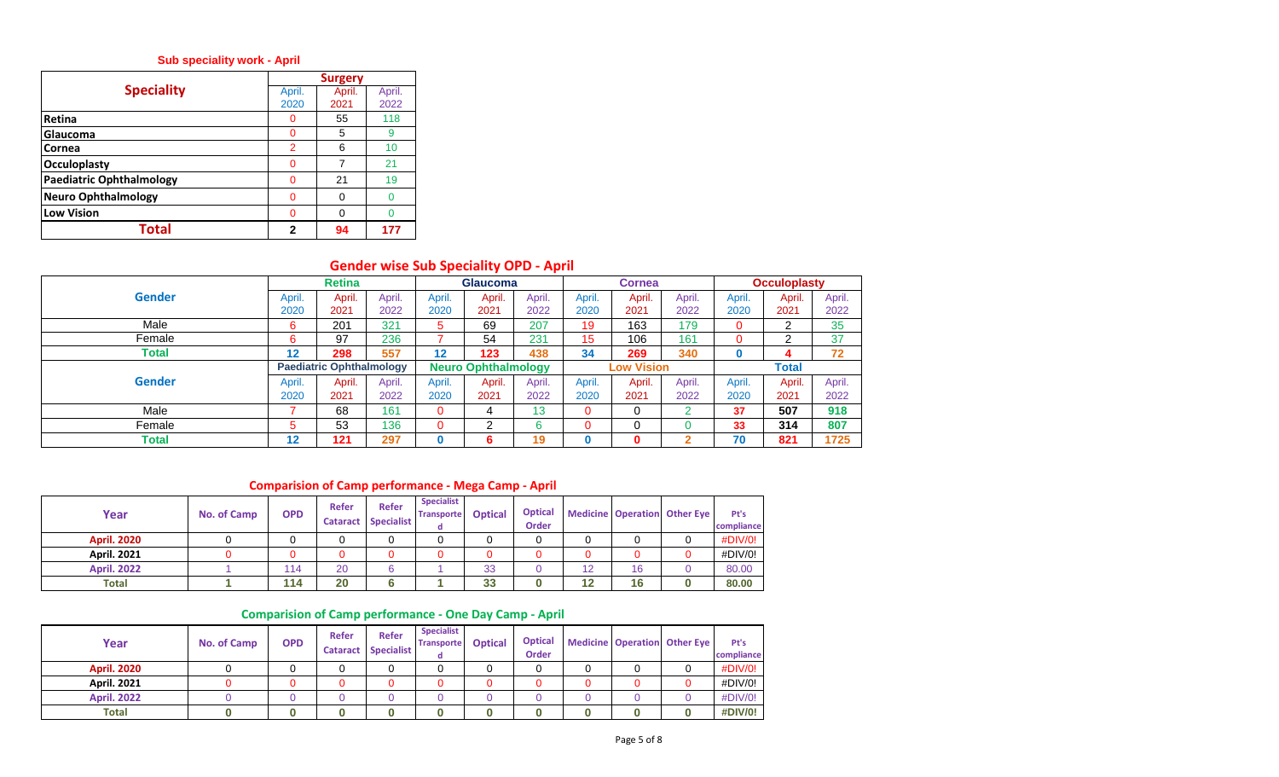#### **Sub speciality work - April**

|                                 |                | <b>Surgery</b> |        |
|---------------------------------|----------------|----------------|--------|
| <b>Speciality</b>               | April.         | April.         | April. |
|                                 | 2020           | 2021           | 2022   |
| Retina                          | O              | 55             | 118    |
| Glaucoma                        | O              | 5              | 9      |
| Cornea                          | $\overline{2}$ | 6              | 10     |
| <b>Occuloplasty</b>             | ŋ              |                | 21     |
| <b>Paediatric Ophthalmology</b> | O              | 21             | 19     |
| <b>Neuro Ophthalmology</b>      | ∩              |                |        |
| <b>Low Vision</b>               | ∩              |                |        |
| Total                           | 2              | 94             | 177    |

# **Gender wise Sub Speciality OPD - April**

|               |        | <b>Retina</b>                   |        |        | <b>Glaucoma</b>            |        |        | <b>Cornea</b>     |        |        | <b>Occuloplasty</b> |        |
|---------------|--------|---------------------------------|--------|--------|----------------------------|--------|--------|-------------------|--------|--------|---------------------|--------|
| Gender        | April. | April.                          | April. | April. | April.                     | April. | April. | April.            | April. | April. | April.              | April. |
|               | 2020   | 2021                            | 2022   | 2020   | 2021                       | 2022   | 2020   | 2021              | 2022   | 2020   | 2021                | 2022   |
| Male          | 6      | 201                             | 321    | 5      | 69                         | 207    | 19     | 163               | 179    | 0      | ົ<br>∠              | 35     |
| Female        | 6      | 97                              | 236    |        | 54                         | 231    | 15     | 106               | 161    | 0      | ⌒                   | 37     |
| Total         | 12     | 298                             | 557    | 12     | 123                        | 438    | 34     | 269               | 340    | O      |                     | 72     |
|               |        | <b>Paediatric Ophthalmology</b> |        |        | <b>Neuro Ophthalmology</b> |        |        | <b>Low Vision</b> |        |        | Total               |        |
| <b>Gender</b> | April. | April.                          | April. | April. | April.                     | April. | April. | April.            | April. | April. | April.              | April. |
|               | 2020   | 2021                            | 2022   | 2020   | 2021                       | 2022   | 2020   | 2021              | 2022   | 2020   | 2021                | 2022   |
| Male          |        | 68                              | 161    | 0      | 4                          | 13     | 0      | 0                 |        | 37     | 507                 | 918    |
| Female        | 5      | 53                              | 136    | 0      | ົ                          | 6      | 0      | 0                 |        | 33     | 314                 | 807    |
| Total         | 12     | 121                             | 297    |        | 6                          | 19     |        | 0                 |        | 70     | 821                 | 1725   |

### **Comparision of Camp performance - Mega Camp - April**

| Year               | No. of Camp | <b>OPD</b> | <b>Refer</b> | <b>Refer</b><br><b>Cataract Specialist</b> | <b>Specialist</b><br><b>Transporte</b> | <b>Optical</b> | <b>Optical</b><br><b>Order</b> |    |    | <b>Medicine Operation Other Eye</b> | Pt's<br>compliance |
|--------------------|-------------|------------|--------------|--------------------------------------------|----------------------------------------|----------------|--------------------------------|----|----|-------------------------------------|--------------------|
| <b>April. 2020</b> |             |            |              |                                            |                                        |                |                                |    |    |                                     | #DIV/0!            |
| <b>April. 2021</b> |             |            |              |                                            |                                        |                |                                |    |    |                                     | #DIV/0!            |
| <b>April. 2022</b> |             | 114        | 20           | 6                                          |                                        | 33             |                                | 12 | 16 |                                     | 80.00              |
| <b>Total</b>       |             | 114        | 20           |                                            |                                        | 33             |                                | 12 | 16 |                                     | 80.00              |

#### **Comparision of Camp performance - One Day Camp - April**

| Year               | No. of Camp | <b>OPD</b> | <b>Refer</b> | Refer<br><b>Cataract Specialist</b> | <b>Specialist</b><br><b>Transporte</b> | <b>Optical</b> | <b>Optical</b><br>Order |  | Medicine Operation Other Eye | Pt's<br>compliance |
|--------------------|-------------|------------|--------------|-------------------------------------|----------------------------------------|----------------|-------------------------|--|------------------------------|--------------------|
| <b>April. 2020</b> |             |            |              |                                     |                                        |                |                         |  |                              | #DIV/0!            |
| <b>April. 2021</b> |             |            |              |                                     |                                        |                |                         |  |                              | #DIV/0!            |
| <b>April, 2022</b> |             |            |              |                                     |                                        |                |                         |  |                              | #DIV/0!            |
| <b>Total</b>       |             |            |              |                                     |                                        |                |                         |  |                              | #DIV/0!            |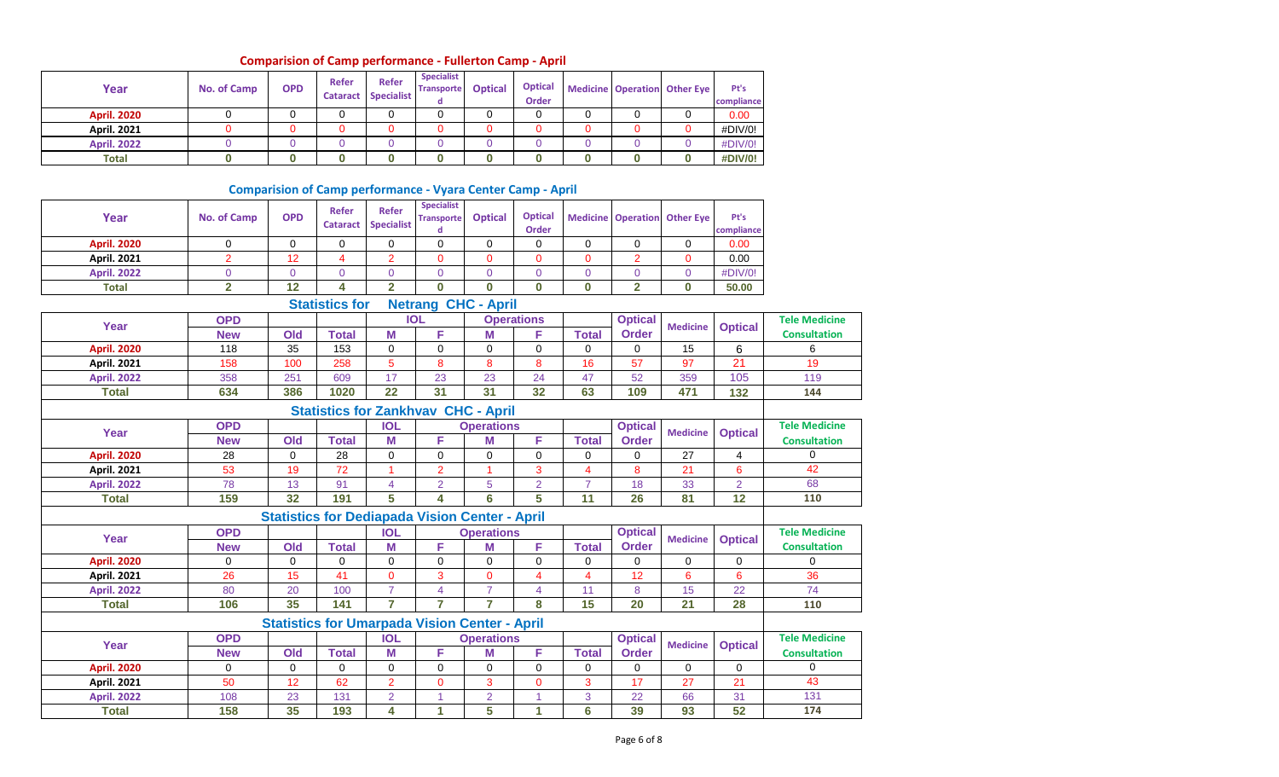### **Comparision of Camp performance - Fullerton Camp - April**

| Year               | <b>No. of Camp</b> | <b>OPD</b> | <b>Refer</b> | <b>Refer</b><br><b>Cataract Specialist</b> | <b>Specialist</b><br><b>Transporte</b> | <b>Optical</b> | <b>Optical</b><br><b>Order</b> |  | Medicine Operation Other Eye | Pt's<br>compliance |
|--------------------|--------------------|------------|--------------|--------------------------------------------|----------------------------------------|----------------|--------------------------------|--|------------------------------|--------------------|
| <b>April. 2020</b> |                    |            |              |                                            |                                        |                |                                |  |                              | 0.00               |
| <b>April. 2021</b> |                    |            |              |                                            |                                        |                |                                |  |                              | #DIV/0!            |
| <b>April. 2022</b> |                    |            |              |                                            |                                        |                |                                |  |                              | #DIV/0!            |
| <b>Total</b>       |                    |            |              |                                            |                                        |                |                                |  |                              | #DIV/0!            |

### **Comparision of Camp performance - Vyara Center Camp - April**

| Year               | <b>No. of Camp</b> | <b>OPD</b>     | Refer<br><b>Cataract</b> | <b>Refer</b><br><b>Specialist</b> | <b>Specialist</b><br><b>Transporte</b><br>d           | <b>Optical</b>    | <b>Optical</b><br>Order |                |                 | <b>Medicine Operation Other Eye</b> | Pt's<br>compliance |                      |
|--------------------|--------------------|----------------|--------------------------|-----------------------------------|-------------------------------------------------------|-------------------|-------------------------|----------------|-----------------|-------------------------------------|--------------------|----------------------|
| <b>April. 2020</b> | 0                  | $\mathbf 0$    | 0                        | $\mathbf 0$                       | $\mathbf 0$                                           | $\mathbf 0$       | $\Omega$                | $\mathbf 0$    | $\mathbf 0$     | $\mathbf 0$                         | 0.00               |                      |
| <b>April. 2021</b> | $\overline{2}$     | 12             | 4                        | $\overline{2}$                    | $\Omega$                                              | $\Omega$          | $\Omega$                | $\Omega$       | $\overline{2}$  | $\Omega$                            | 0.00               |                      |
| <b>April. 2022</b> | $\overline{0}$     | $\overline{0}$ | $\overline{0}$           | $\overline{0}$                    | $\overline{0}$                                        | $\overline{0}$    | $\overline{0}$          | $\overline{0}$ | $\mathbf 0$     | $\overline{0}$                      | #DIV/0!            |                      |
| <b>Total</b>       | $\overline{2}$     | 12             | 4                        | $\overline{2}$                    | $\bf{0}$                                              | O.                | $\bf{0}$                | $\bf{0}$       | $\overline{2}$  | $\bf{0}$                            | 50.00              |                      |
|                    |                    |                | <b>Statistics for</b>    |                                   | <b>Netrang CHC - April</b>                            |                   |                         |                |                 |                                     |                    |                      |
|                    | <b>OPD</b>         |                |                          |                                   | <b>IOL</b>                                            |                   | <b>Operations</b>       |                | <b>Optical</b>  | <b>Medicine</b>                     |                    | <b>Tele Medicine</b> |
| Year               | <b>New</b>         | Old            | <b>Total</b>             | M                                 | F                                                     | M                 | F                       | <b>Total</b>   | <b>Order</b>    |                                     | <b>Optical</b>     | <b>Consultation</b>  |
| <b>April. 2020</b> | 118                | 35             | 153                      | $\mathbf 0$                       | $\mathbf 0$                                           | 0                 | $\mathbf 0$             | $\mathbf 0$    | 0               | 15                                  | 6                  | 6                    |
| <b>April. 2021</b> | 158                | 100            | 258                      | 5                                 | 8                                                     | 8                 | 8                       | 16             | 57              | 97                                  | $\overline{21}$    | 19                   |
| <b>April. 2022</b> | 358                | 251            | 609                      | 17                                | 23                                                    | 23                | 24                      | 47             | 52              | 359                                 | 105                | 119                  |
| <b>Total</b>       | 634                | 386            | 1020                     | 22                                | 31                                                    | 31                | 32                      | 63             | 109             | 471                                 | 132                | 144                  |
|                    |                    |                |                          |                                   | <b>Statistics for Zankhvav CHC - April</b>            |                   |                         |                |                 |                                     |                    |                      |
|                    | <b>OPD</b>         |                |                          | <b>IOL</b>                        |                                                       | <b>Operations</b> |                         |                | <b>Optical</b>  |                                     |                    | <b>Tele Medicine</b> |
| Year               | <b>New</b>         | Old            | <b>Total</b>             | М                                 | F                                                     | M                 | F                       | <b>Total</b>   | <b>Order</b>    | <b>Medicine</b>                     | <b>Optical</b>     | <b>Consultation</b>  |
| <b>April. 2020</b> | 28                 | $\mathbf 0$    | 28                       | $\mathbf 0$                       | $\mathbf 0$                                           | 0                 | $\Omega$                | 0              | 0               | 27                                  | 4                  | $\Omega$             |
| <b>April. 2021</b> | 53                 | 19             | 72                       | 1                                 | $\overline{2}$                                        | $\overline{1}$    | 3                       | $\overline{4}$ | 8               | 21                                  | $\boldsymbol{6}$   | 42                   |
| <b>April. 2022</b> | 78                 | 13             | 91                       | $\overline{4}$                    | $\overline{2}$                                        | 5                 | $\overline{2}$          | $\overline{7}$ | 18              | 33                                  | $\overline{2}$     | 68                   |
| <b>Total</b>       | 159                | 32             | 191                      | 5                                 | 4                                                     | 6                 | 5                       | 11             | 26              | 81                                  | 12                 | 110                  |
|                    |                    |                |                          |                                   | <b>Statistics for Dediapada Vision Center - April</b> |                   |                         |                |                 |                                     |                    |                      |
|                    | <b>OPD</b>         |                |                          | <b>IOL</b>                        |                                                       | <b>Operations</b> |                         |                | <b>Optical</b>  |                                     |                    | <b>Tele Medicine</b> |
| Year               | <b>New</b>         | Old            | <b>Total</b>             | M                                 | F                                                     | M                 | F                       | <b>Total</b>   | <b>Order</b>    | <b>Medicine</b>                     | <b>Optical</b>     | <b>Consultation</b>  |
| <b>April. 2020</b> | 0                  | $\mathbf 0$    | $\Omega$                 | 0                                 | $\mathbf 0$                                           | $\mathbf 0$       | $\Omega$                | $\mathbf 0$    | 0               | $\mathbf 0$                         | $\mathbf 0$        | $\mathbf 0$          |
| <b>April. 2021</b> | 26                 | 15             | 41                       | $\overline{0}$                    | 3                                                     | $\overline{0}$    | $\overline{4}$          | $\overline{4}$ | 12              | $6\phantom{1}$                      | 6                  | 36                   |
| <b>April. 2022</b> | 80                 | 20             | 100                      | $\overline{7}$                    | $\overline{4}$                                        | $\overline{7}$    | $\overline{4}$          | 11             | 8               | 15                                  | 22                 | 74                   |
| <b>Total</b>       | 106                | 35             | $\overline{141}$         | $\overline{7}$                    | $\overline{7}$                                        | 7                 | 8                       | 15             | $\overline{20}$ | $\overline{21}$                     | 28                 | 110                  |
|                    |                    |                |                          |                                   | <b>Statistics for Umarpada Vision Center - April</b>  |                   |                         |                |                 |                                     |                    |                      |
|                    | <b>OPD</b>         |                |                          | <b>IOL</b>                        |                                                       | <b>Operations</b> |                         |                | <b>Optical</b>  |                                     |                    | <b>Tele Medicine</b> |
| Year               | <b>New</b>         | Old            | <b>Total</b>             | M                                 | F                                                     | M                 | F                       | <b>Total</b>   | <b>Order</b>    | <b>Medicine</b>                     | <b>Optical</b>     | <b>Consultation</b>  |
| <b>April. 2020</b> | $\mathbf 0$        | $\mathbf 0$    | 0                        | $\mathbf 0$                       | $\mathbf 0$                                           | $\mathbf 0$       | $\Omega$                | $\mathbf 0$    | 0               | $\mathbf 0$                         | $\mathbf 0$        | $\mathbf 0$          |
| <b>April. 2021</b> | 50                 | 12             | 62                       | $\overline{2}$                    | $\mathbf{0}$                                          | 3                 | $\Omega$                | 3              | 17              | 27                                  | 21                 | 43                   |
| <b>April. 2022</b> | 108                | 23             | 131                      | $\overline{2}$                    | $\mathbf{1}$                                          | $\overline{2}$    | 1                       | 3              | 22              | 66                                  | 31                 | 131                  |
| <b>Total</b>       | 158                | 35             | 193                      | 4                                 | 1                                                     | 5                 | 1                       | 6              | 39              | 93                                  | 52                 | 174                  |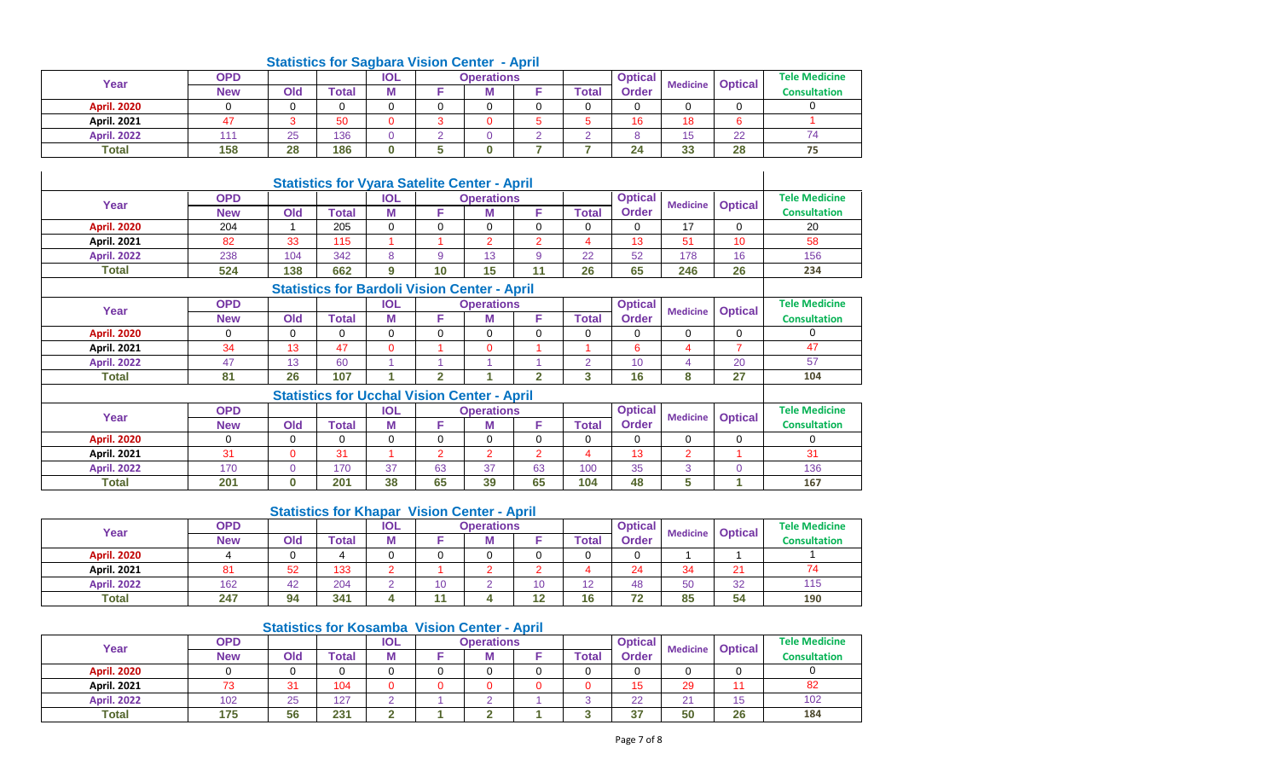| Year               | <b>OPD</b> |     |       | <b>IOL</b> | <b>Operations</b> |       | <b>Optical</b> | <b>Medicine</b> | <b>Optical</b> | <b>Tele Medicine</b> |  |
|--------------------|------------|-----|-------|------------|-------------------|-------|----------------|-----------------|----------------|----------------------|--|
|                    | <b>New</b> | Old | Total | M          | M                 | Total | <b>Order</b>   |                 |                | <b>Consultation</b>  |  |
| <b>April. 2020</b> |            |     |       |            |                   |       |                |                 |                |                      |  |
| <b>April. 2021</b> |            |     | 50    |            |                   |       | 16             | 18              |                |                      |  |
| <b>April. 2022</b> | 1. A. A    | 25  | 136   |            |                   |       |                | ∪ו              | $\cap$<br>22   |                      |  |
| <b>Total</b>       | 158        | 28  | 186   | n          |                   |       | 24             | 33              | 28             | --                   |  |

# **Statistics for Sagbara Vision Center - April**

|                    |            |             |                                                     |            |                | <b>Statistics for Vyara Satelite Center - April</b> |                |                          |                                   |                 |                |                      |
|--------------------|------------|-------------|-----------------------------------------------------|------------|----------------|-----------------------------------------------------|----------------|--------------------------|-----------------------------------|-----------------|----------------|----------------------|
| Year               | <b>OPD</b> |             |                                                     | <b>IOL</b> |                | <b>Operations</b>                                   |                |                          | <b>Optical</b><br><b>Medicine</b> |                 | <b>Optical</b> | <b>Tele Medicine</b> |
|                    | <b>New</b> | Old         | Total                                               | М          | F              | М                                                   | F              | Total                    | <b>Order</b>                      |                 |                | <b>Consultation</b>  |
| <b>April. 2020</b> | 204        |             | 205                                                 | 0          | $\mathbf 0$    | $\Omega$                                            | $\Omega$       | $\Omega$                 | $\Omega$                          | 17              | $\Omega$       | 20                   |
| <b>April. 2021</b> | 82         | 33          | 115                                                 |            |                | $\overline{2}$                                      | $\overline{2}$ | $\overline{4}$           | 13                                | 51              | 10             | 58                   |
| <b>April. 2022</b> | 238        | 104         | 342                                                 | 8          | 9              | 13                                                  | 9              | 22                       | 52                                | 178             | 16             | 156                  |
| Total              | 524        | 138         | 662                                                 | 9          | 10             | 15                                                  | 11             | 26                       | 65                                | 246             | 26             | 234                  |
|                    |            |             | <b>Statistics for Bardoli Vision Center - April</b> |            |                |                                                     |                |                          |                                   |                 |                |                      |
| Year               | <b>OPD</b> |             |                                                     | <b>IOL</b> |                | <b>Operations</b>                                   |                |                          | <b>Optical</b>                    |                 |                | <b>Tele Medicine</b> |
|                    | <b>New</b> | Old         | Total                                               | М          | F              | м                                                   | F              | Total                    | <b>Order</b>                      | <b>Medicine</b> | <b>Optical</b> | <b>Consultation</b>  |
| <b>April. 2020</b> | $\Omega$   | 0           | $\Omega$                                            | 0          | $\mathbf 0$    | $\Omega$                                            | $\Omega$       | 0                        | 0                                 | $\mathbf 0$     | $\Omega$       | $\Omega$             |
| <b>April. 2021</b> | 34         | 13          | 47                                                  | 0          |                | $\Omega$                                            |                |                          | 6                                 | $\overline{4}$  | $\overline{7}$ | 47                   |
| <b>April. 2022</b> | 47         | 13          | 60                                                  |            | и              |                                                     |                | $\overline{2}$           | 10                                | $\overline{4}$  | 20             | 57                   |
| Total              | 81         | 26          | 107                                                 |            | $\mathbf{2}$   | и                                                   | $\mathbf{2}$   | 3                        | 16                                | 8               | 27             | 104                  |
|                    |            |             | <b>Statistics for Ucchal Vision Center - April</b>  |            |                |                                                     |                |                          |                                   |                 |                |                      |
| Year               | <b>OPD</b> |             |                                                     | <b>IOL</b> |                | <b>Operations</b>                                   |                |                          | <b>Optical</b>                    | <b>Medicine</b> |                | <b>Tele Medicine</b> |
|                    | <b>New</b> | Old         | <b>Total</b>                                        | M          | F              | М                                                   | F              | Total                    | <b>Order</b>                      |                 | <b>Optical</b> | <b>Consultation</b>  |
| <b>April. 2020</b> | $\Omega$   | $\mathbf 0$ | $\Omega$                                            | 0          | 0              | $\Omega$                                            | $\Omega$       | $\mathbf 0$              | 0                                 | $\mathbf 0$     | $\mathbf 0$    | $\Omega$             |
| <b>April. 2021</b> | 31         | $\Omega$    | 31                                                  |            | $\overline{2}$ | $\overline{2}$                                      | $\overline{2}$ | $\overline{\mathcal{A}}$ | 13                                | $\overline{2}$  | 1              | 31                   |
| <b>April. 2022</b> | 170        | $\Omega$    | 170                                                 | 37         | 63             | 37                                                  | 63             | 100                      | 35                                | 3               | $\Omega$       | 136                  |
| Total              | 201        | 0           | 201                                                 | 38         | 65             | 39                                                  | 65             | 104                      | 48                                | 5               |                | 167                  |

### **Statistics for Khapar Vision Center - April**

| Year               | OPD        |     |       | <b>IOL</b> |    | <b>Operations</b> |           |       | <b>Optical</b> | <b>Medicine</b> |                | <b>Tele Medicine</b> |
|--------------------|------------|-----|-------|------------|----|-------------------|-----------|-------|----------------|-----------------|----------------|----------------------|
|                    | <b>New</b> | Old | Total | М          |    | M                 |           | Total | <b>Order</b>   |                 | <b>Optical</b> | <b>Consultation</b>  |
| <b>April. 2020</b> |            |     |       |            |    |                   |           |       |                |                 |                |                      |
| <b>April. 2021</b> | 81         | 52  | 133   |            |    |                   |           |       | 24             |                 | 21             |                      |
| <b>April. 2022</b> | 162        | 42  | 204   |            | 10 |                   |           | 12    | 48             | 50              | 32             | 115                  |
| <b>Total</b>       | 247        | 94  | 341   |            | 44 |                   | 10<br>. . | 16    | 72             | 85              | 54             | 190                  |

### **Statistics for Kosamba Vision Center - April**

i.

| Year               | <b>OPD</b> |          |       | <b>IOL</b> | <b>Operations</b> |       | <b>Optical</b> | <b>Medicine</b> | <b>Optical</b> | <b>Tele Medicine</b> |
|--------------------|------------|----------|-------|------------|-------------------|-------|----------------|-----------------|----------------|----------------------|
|                    | <b>New</b> | Old      | Total | ш          |                   | Total | Order          |                 |                | <b>Consultation</b>  |
| <b>April. 2020</b> |            |          |       |            |                   |       |                |                 |                |                      |
| <b>April. 2021</b> |            | $\sim$   | 104   |            |                   |       | $\overline{ }$ | 29              |                | 82                   |
| <b>April. 2022</b> | 102        | つに<br>ںے | 127   |            |                   |       | 22             | n,              | 15<br>ں⊦       | 102                  |
| <b>Total</b>       | 175        | 56       | 231   | ∼          |                   |       | $\sim$<br>ີ    | 50              | 26             | 184                  |